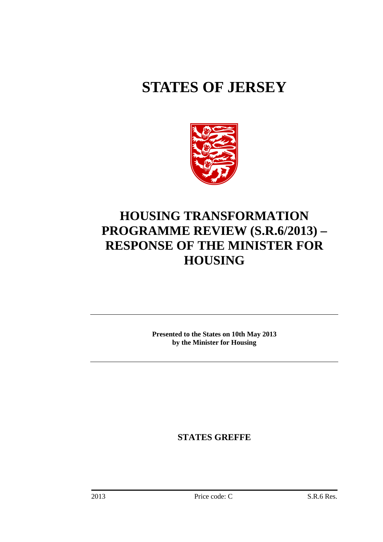# **STATES OF JERSEY**



## **HOUSING TRANSFORMATION PROGRAMME REVIEW (S.R.6/2013) – RESPONSE OF THE MINISTER FOR HOUSING**

**Presented to the States on 10th May 2013 by the Minister for Housing**

**STATES GREFFE**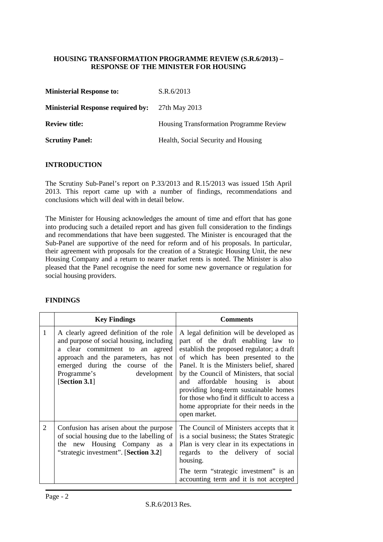#### **HOUSING TRANSFORMATION PROGRAMME REVIEW (S.R.6/2013) – RESPONSE OF THE MINISTER FOR HOUSING**

| <b>Ministerial Response to:</b>          | S.R.6/2013                                     |
|------------------------------------------|------------------------------------------------|
| <b>Ministerial Response required by:</b> | 27th May 2013                                  |
| <b>Review title:</b>                     | <b>Housing Transformation Programme Review</b> |
| <b>Scrutiny Panel:</b>                   | Health, Social Security and Housing            |

#### **INTRODUCTION**

The Scrutiny Sub-Panel's report on P.33/2013 and R.15/2013 was issued 15th April 2013. This report came up with a number of findings, recommendations and conclusions which will deal with in detail below.

The Minister for Housing acknowledges the amount of time and effort that has gone into producing such a detailed report and has given full consideration to the findings and recommendations that have been suggested. The Minister is encouraged that the Sub-Panel are supportive of the need for reform and of his proposals. In particular, their agreement with proposals for the creation of a Strategic Housing Unit, the new Housing Company and a return to nearer market rents is noted. The Minister is also pleased that the Panel recognise the need for some new governance or regulation for social housing providers.

#### **FINDINGS**

|                | <b>Key Findings</b>                                                                                                                                                                                                                               | <b>Comments</b>                                                                                                                                                                                                                                                                                                                                                                                                                                   |
|----------------|---------------------------------------------------------------------------------------------------------------------------------------------------------------------------------------------------------------------------------------------------|---------------------------------------------------------------------------------------------------------------------------------------------------------------------------------------------------------------------------------------------------------------------------------------------------------------------------------------------------------------------------------------------------------------------------------------------------|
| 1              | A clearly agreed definition of the role<br>and purpose of social housing, including<br>a clear commitment to an agreed<br>approach and the parameters, has not<br>emerged during the course of the<br>Programme's<br>development<br>[Section 3.1] | A legal definition will be developed as<br>part of the draft enabling law to<br>establish the proposed regulator; a draft<br>of which has been presented to the<br>Panel. It is the Ministers belief, shared<br>by the Council of Ministers, that social<br>affordable housing is about<br>and<br>providing long-term sustainable homes<br>for those who find it difficult to access a<br>home appropriate for their needs in the<br>open market. |
| $\overline{2}$ | Confusion has arisen about the purpose<br>of social housing due to the labelling of<br>the new Housing Company as<br>a<br>"strategic investment". [Section 3.2]                                                                                   | The Council of Ministers accepts that it<br>is a social business; the States Strategic<br>Plan is very clear in its expectations in<br>regards to the delivery of social<br>housing.<br>The term "strategic investment" is an<br>accounting term and it is not accepted                                                                                                                                                                           |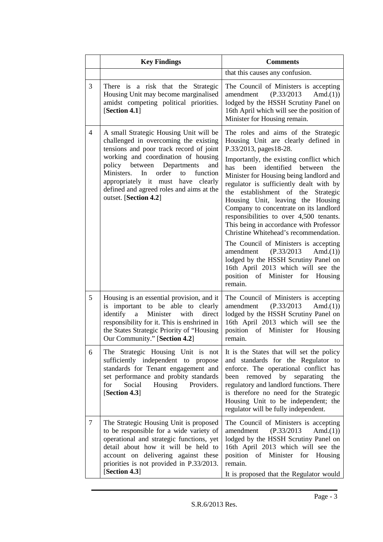|                | <b>Key Findings</b>                                                                                                                                                                                                                                                                                                                                                 | <b>Comments</b>                                                                                                                                                                                                                                                                                                                                                                                                                                                                                                                                                                                                                                                                                                                                            |
|----------------|---------------------------------------------------------------------------------------------------------------------------------------------------------------------------------------------------------------------------------------------------------------------------------------------------------------------------------------------------------------------|------------------------------------------------------------------------------------------------------------------------------------------------------------------------------------------------------------------------------------------------------------------------------------------------------------------------------------------------------------------------------------------------------------------------------------------------------------------------------------------------------------------------------------------------------------------------------------------------------------------------------------------------------------------------------------------------------------------------------------------------------------|
|                |                                                                                                                                                                                                                                                                                                                                                                     | that this causes any confusion.                                                                                                                                                                                                                                                                                                                                                                                                                                                                                                                                                                                                                                                                                                                            |
| 3              | There is a risk that the Strategic<br>Housing Unit may become marginalised<br>amidst competing political priorities.<br>[Section 4.1]                                                                                                                                                                                                                               | The Council of Ministers is accepting<br>(P.33/2013)<br>amendment<br>Amd. $(1)$ )<br>lodged by the HSSH Scrutiny Panel on<br>16th April which will see the position of<br>Minister for Housing remain.                                                                                                                                                                                                                                                                                                                                                                                                                                                                                                                                                     |
| $\overline{4}$ | A small Strategic Housing Unit will be<br>challenged in overcoming the existing<br>tensions and poor track record of joint<br>working and coordination of housing<br>policy between Departments<br>and<br>Ministers.<br>order<br>function<br>In<br>to<br>appropriately it must have<br>clearly<br>defined and agreed roles and aims at the<br>outset. [Section 4.2] | The roles and aims of the Strategic<br>Housing Unit are clearly defined in<br>P.33/2013, pages 18-28.<br>Importantly, the existing conflict which<br>identified between<br>has<br>been<br>the<br>Minister for Housing being landlord and<br>regulator is sufficiently dealt with by<br>establishment of the<br>the<br>Strategic<br>Housing Unit, leaving the Housing<br>Company to concentrate on its landlord<br>responsibilities to over 4,500 tenants.<br>This being in accordance with Professor<br>Christine Whitehead's recommendation.<br>The Council of Ministers is accepting<br>(P.33/2013)<br>amendment<br>Amd.(1)<br>lodged by the HSSH Scrutiny Panel on<br>16th April 2013 which will see the<br>position of Minister for Housing<br>remain. |
| 5              | Housing is an essential provision, and it<br>is important to be able to clearly<br>identify<br>$\mathbf{a}$<br>Minister<br>with<br>direct<br>responsibility for it. This is enshrined in<br>the States Strategic Priority of "Housing<br>Our Community." [Section 4.2]                                                                                              | The Council of Ministers is accepting<br>(P.33/2013)<br>amendment<br>Amd.(1))<br>lodged by the HSSH Scrutiny Panel on<br>16th April 2013 which will see the<br>position of Minister for<br>Housing<br>remain.                                                                                                                                                                                                                                                                                                                                                                                                                                                                                                                                              |
| 6              | The Strategic Housing Unit is not<br>sufficiently independent to<br>propose<br>standards for Tenant engagement and<br>set performance and probity standards<br>Social<br>Providers.<br>for<br>Housing<br>[Section 4.3]                                                                                                                                              | It is the States that will set the policy<br>and standards for the Regulator to<br>enforce. The operational conflict has<br>been removed by separating<br>the<br>regulatory and landlord functions. There<br>is therefore no need for the Strategic<br>Housing Unit to be independent; the<br>regulator will be fully independent.                                                                                                                                                                                                                                                                                                                                                                                                                         |
| $\tau$         | The Strategic Housing Unit is proposed<br>to be responsible for a wide variety of<br>operational and strategic functions, yet<br>detail about how it will be held to<br>account on delivering against these<br>priorities is not provided in P.33/2013.<br>[Section 4.3]                                                                                            | The Council of Ministers is accepting<br>amendment<br>(P.33/2013)<br>Amd.(1)<br>lodged by the HSSH Scrutiny Panel on<br>16th April 2013 which will see the<br>position of Minister for Housing<br>remain.<br>It is proposed that the Regulator would                                                                                                                                                                                                                                                                                                                                                                                                                                                                                                       |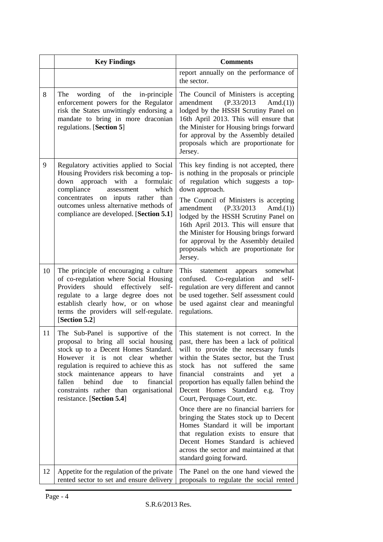|    | <b>Key Findings</b>                                                                                                                                                                                                                                                                                                        | <b>Comments</b>                                                                                                                                                                                                                                                                                                                                                                                                                                                                                                                                                                                                                                                                                       |
|----|----------------------------------------------------------------------------------------------------------------------------------------------------------------------------------------------------------------------------------------------------------------------------------------------------------------------------|-------------------------------------------------------------------------------------------------------------------------------------------------------------------------------------------------------------------------------------------------------------------------------------------------------------------------------------------------------------------------------------------------------------------------------------------------------------------------------------------------------------------------------------------------------------------------------------------------------------------------------------------------------------------------------------------------------|
|    |                                                                                                                                                                                                                                                                                                                            | report annually on the performance of<br>the sector.                                                                                                                                                                                                                                                                                                                                                                                                                                                                                                                                                                                                                                                  |
| 8  | The wording of the in-principle<br>enforcement powers for the Regulator<br>risk the States unwittingly endorsing a<br>mandate to bring in more draconian<br>regulations. [Section 5]                                                                                                                                       | The Council of Ministers is accepting<br>(P.33/2013)<br>amendment<br>Amd.(1)<br>lodged by the HSSH Scrutiny Panel on<br>16th April 2013. This will ensure that<br>the Minister for Housing brings forward<br>for approval by the Assembly detailed<br>proposals which are proportionate for<br>Jersey.                                                                                                                                                                                                                                                                                                                                                                                                |
| 9  | Regulatory activities applied to Social<br>Housing Providers risk becoming a top-<br>approach with a<br>formulaic<br>down<br>compliance<br>which<br>assessment<br>concentrates on inputs rather than<br>outcomes unless alternative methods of<br>compliance are developed. [Section 5.1]                                  | This key finding is not accepted, there<br>is nothing in the proposals or principle<br>of regulation which suggests a top-<br>down approach.<br>The Council of Ministers is accepting<br>amendment<br>(P.33/2013)<br>Amd. $(1)$<br>lodged by the HSSH Scrutiny Panel on<br>16th April 2013. This will ensure that<br>the Minister for Housing brings forward<br>for approval by the Assembly detailed<br>proposals which are proportionate for<br>Jersey.                                                                                                                                                                                                                                             |
| 10 | The principle of encouraging a culture<br>of co-regulation where Social Housing<br>Providers<br>should<br>effectively<br>self-<br>regulate to a large degree does not<br>establish clearly how, or on whose<br>terms the providers will self-regulate.<br>[Section 5.2]                                                    | This statement<br>somewhat<br>appears<br>confused. Co-regulation<br>and<br>self-<br>regulation are very different and cannot<br>be used together. Self assessment could<br>be used against clear and meaningful<br>regulations.                                                                                                                                                                                                                                                                                                                                                                                                                                                                       |
| 11 | The Sub-Panel is supportive of the<br>stock up to a Decent Homes Standard.<br>However it is not clear<br>whether<br>regulation is required to achieve this as<br>stock maintenance appears<br>to have<br>behind<br>fallen<br>due<br>to<br>financial<br>constraints rather than organisational<br>resistance. [Section 5.4] | This statement is not correct. In the<br>proposal to bring all social housing   past, there has been a lack of political<br>will to provide the necessary funds<br>within the States sector, but the Trust<br>suffered the<br>stock has<br>not<br>same<br>financial<br>constraints<br>and<br>yet<br>a<br>proportion has equally fallen behind the<br>Decent Homes Standard e.g. Troy<br>Court, Perquage Court, etc.<br>Once there are no financial barriers for<br>bringing the States stock up to Decent<br>Homes Standard it will be important<br>that regulation exists to ensure that<br>Decent Homes Standard is achieved<br>across the sector and maintained at that<br>standard going forward. |
| 12 | Appetite for the regulation of the private<br>rented sector to set and ensure delivery                                                                                                                                                                                                                                     | The Panel on the one hand viewed the<br>proposals to regulate the social rented                                                                                                                                                                                                                                                                                                                                                                                                                                                                                                                                                                                                                       |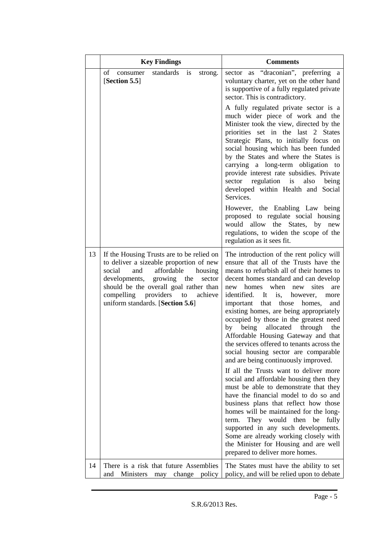|    | <b>Key Findings</b>                                                                                                                                                                                                                                                                             | <b>Comments</b>                                                                                                                                                                                                                                                                                                                                                                                                                                                                                                                                                                                                                                                                                                                                                                                                                                                                                                                                                                                                                                                                          |
|----|-------------------------------------------------------------------------------------------------------------------------------------------------------------------------------------------------------------------------------------------------------------------------------------------------|------------------------------------------------------------------------------------------------------------------------------------------------------------------------------------------------------------------------------------------------------------------------------------------------------------------------------------------------------------------------------------------------------------------------------------------------------------------------------------------------------------------------------------------------------------------------------------------------------------------------------------------------------------------------------------------------------------------------------------------------------------------------------------------------------------------------------------------------------------------------------------------------------------------------------------------------------------------------------------------------------------------------------------------------------------------------------------------|
|    | $\sigma$<br>consumer<br>standards<br>is<br>strong.<br>[Section 5.5]                                                                                                                                                                                                                             | sector as "draconian", preferring a<br>voluntary charter, yet on the other hand<br>is supportive of a fully regulated private<br>sector. This is contradictory.                                                                                                                                                                                                                                                                                                                                                                                                                                                                                                                                                                                                                                                                                                                                                                                                                                                                                                                          |
|    |                                                                                                                                                                                                                                                                                                 | A fully regulated private sector is a<br>much wider piece of work and the<br>Minister took the view, directed by the<br>priorities set in the last 2 States<br>Strategic Plans, to initially focus on<br>social housing which has been funded<br>by the States and where the States is<br>carrying a long-term obligation to<br>provide interest rate subsidies. Private<br>regulation is<br>sector<br>also<br>being<br>developed within Health and Social<br>Services.                                                                                                                                                                                                                                                                                                                                                                                                                                                                                                                                                                                                                  |
|    |                                                                                                                                                                                                                                                                                                 | However, the Enabling Law being<br>proposed to regulate social housing<br>allow the States, by<br>would<br>new<br>regulations, to widen the scope of the<br>regulation as it sees fit.                                                                                                                                                                                                                                                                                                                                                                                                                                                                                                                                                                                                                                                                                                                                                                                                                                                                                                   |
| 13 | If the Housing Trusts are to be relied on<br>to deliver a sizeable proportion of new<br>social<br>affordable<br>and<br>housing<br>developments, growing<br>the<br>sector<br>should be the overall goal rather than<br>compelling providers<br>achieve<br>to<br>uniform standards. [Section 5.6] | The introduction of the rent policy will<br>ensure that all of the Trusts have the<br>means to refurbish all of their homes to<br>decent homes standard and can develop<br>when<br>homes<br>sites<br>new<br>new<br>are<br>identified. It<br>however,<br>is,<br>more<br>that those<br>homes,<br>important<br>and<br>existing homes, are being appropriately<br>occupied by those in the greatest need<br>being<br>allocated<br>through<br>by<br>the<br>Affordable Housing Gateway and that<br>the services offered to tenants across the<br>social housing sector are comparable<br>and are being continuously improved.<br>If all the Trusts want to deliver more<br>social and affordable housing then they<br>must be able to demonstrate that they<br>have the financial model to do so and<br>business plans that reflect how those<br>homes will be maintained for the long-<br>They would then<br>be<br>fully<br>term.<br>supported in any such developments.<br>Some are already working closely with<br>the Minister for Housing and are well<br>prepared to deliver more homes. |
| 14 | There is a risk that future Assemblies<br>Ministers<br>change<br>policy<br>and<br>may                                                                                                                                                                                                           | The States must have the ability to set<br>policy, and will be relied upon to debate                                                                                                                                                                                                                                                                                                                                                                                                                                                                                                                                                                                                                                                                                                                                                                                                                                                                                                                                                                                                     |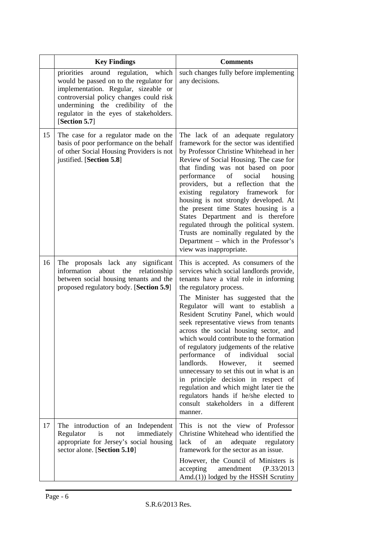|    | <b>Key Findings</b>                                                                                                                                                                                                                                                         | <b>Comments</b>                                                                                                                                                                                                                                                                                                                                                                                                                                                                                                                                                                                                                                                                                                                                                         |
|----|-----------------------------------------------------------------------------------------------------------------------------------------------------------------------------------------------------------------------------------------------------------------------------|-------------------------------------------------------------------------------------------------------------------------------------------------------------------------------------------------------------------------------------------------------------------------------------------------------------------------------------------------------------------------------------------------------------------------------------------------------------------------------------------------------------------------------------------------------------------------------------------------------------------------------------------------------------------------------------------------------------------------------------------------------------------------|
|    | regulation,<br>priorities<br>which<br>around<br>would be passed on to the regulator for<br>implementation. Regular, sizeable or<br>controversial policy changes could risk<br>undermining the credibility of the<br>regulator in the eyes of stakeholders.<br>[Section 5.7] | such changes fully before implementing<br>any decisions.                                                                                                                                                                                                                                                                                                                                                                                                                                                                                                                                                                                                                                                                                                                |
| 15 | The case for a regulator made on the<br>basis of poor performance on the behalf<br>of other Social Housing Providers is not<br>justified. [Section 5.8]                                                                                                                     | The lack of an adequate regulatory<br>framework for the sector was identified<br>by Professor Christine Whitehead in her<br>Review of Social Housing. The case for<br>that finding was not based on poor<br>of<br>performance<br>social<br>housing<br>providers, but a reflection that the<br>existing regulatory framework<br>for<br>housing is not strongly developed. At<br>the present time States housing is a<br>States Department and is therefore<br>regulated through the political system.<br>Trusts are nominally regulated by the<br>Department - which in the Professor's<br>view was inappropriate.                                                                                                                                                       |
| 16 | The proposals lack any significant<br>information<br>about the<br>relationship<br>between social housing tenants and the<br>proposed regulatory body. [Section 5.9]                                                                                                         | This is accepted. As consumers of the<br>services which social landlords provide,<br>tenants have a vital role in informing<br>the regulatory process.<br>The Minister has suggested that the<br>Regulator will want to establish a<br>Resident Scrutiny Panel, which would<br>seek representative views from tenants<br>across the social housing sector, and<br>which would contribute to the formation<br>of regulatory judgements of the relative<br>performance<br>of individual<br>social<br>landlords.<br>However,<br>it<br>seemed<br>unnecessary to set this out in what is an<br>in principle decision in respect of<br>regulation and which might later tie the<br>regulators hands if he/she elected to<br>consult stakeholders in a<br>different<br>manner. |
| 17 | The introduction of an Independent<br>Regulator<br>is<br>immediately<br>not<br>appropriate for Jersey's social housing<br>sector alone. [Section 5.10]                                                                                                                      | This is not the view of Professor<br>Christine Whitehead who identified the<br>$% \left( \left( \mathcal{A},\mathcal{A}\right) \right) =\left( \mathcal{A},\mathcal{A}\right)$ of<br>lack<br>adequate regulatory<br>an<br>framework for the sector as an issue.<br>However, the Council of Ministers is<br>accepting<br>amendment<br>(P.33/2013)<br>Amd.(1)) lodged by the HSSH Scrutiny                                                                                                                                                                                                                                                                                                                                                                                |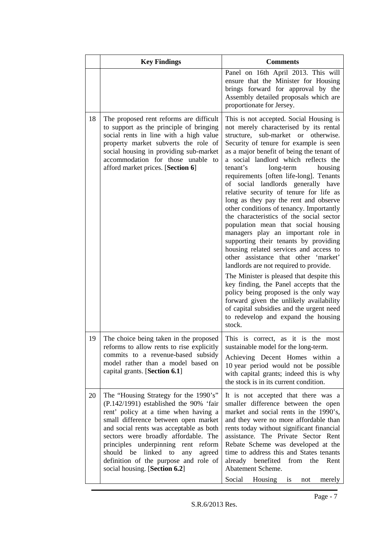|    | <b>Key Findings</b>                                                                                                                                                                                                                                                                                                                                                                                                     | <b>Comments</b>                                                                                                                                                                                                                                                                                                                                                                                                                                                                                                                                                                                                                                                                                                                                                                                                                                                                                                                                                                                                                                                                     |
|----|-------------------------------------------------------------------------------------------------------------------------------------------------------------------------------------------------------------------------------------------------------------------------------------------------------------------------------------------------------------------------------------------------------------------------|-------------------------------------------------------------------------------------------------------------------------------------------------------------------------------------------------------------------------------------------------------------------------------------------------------------------------------------------------------------------------------------------------------------------------------------------------------------------------------------------------------------------------------------------------------------------------------------------------------------------------------------------------------------------------------------------------------------------------------------------------------------------------------------------------------------------------------------------------------------------------------------------------------------------------------------------------------------------------------------------------------------------------------------------------------------------------------------|
|    |                                                                                                                                                                                                                                                                                                                                                                                                                         | Panel on 16th April 2013. This will<br>ensure that the Minister for Housing<br>brings forward for approval by the<br>Assembly detailed proposals which are<br>proportionate for Jersey.                                                                                                                                                                                                                                                                                                                                                                                                                                                                                                                                                                                                                                                                                                                                                                                                                                                                                             |
| 18 | The proposed rent reforms are difficult<br>to support as the principle of bringing<br>social rents in line with a high value<br>property market subverts the role of<br>social housing in providing sub-market<br>accommodation for those unable to<br>afford market prices. [Section 6]                                                                                                                                | This is not accepted. Social Housing is<br>not merely characterised by its rental<br>structure, sub-market or otherwise.<br>Security of tenure for example is seen<br>as a major benefit of being the tenant of<br>a social landlord which reflects the<br>tenant's<br>long-term<br>housing<br>requirements [often life-long]. Tenants<br>of social landlords generally have<br>relative security of tenure for life as<br>long as they pay the rent and observe<br>other conditions of tenancy. Importantly<br>the characteristics of the social sector<br>population mean that social housing<br>managers play an important role in<br>supporting their tenants by providing<br>housing related services and access to<br>other assistance that other 'market'<br>landlords are not required to provide.<br>The Minister is pleased that despite this<br>key finding, the Panel accepts that the<br>policy being proposed is the only way<br>forward given the unlikely availability<br>of capital subsidies and the urgent need<br>to redevelop and expand the housing<br>stock. |
| 19 | The choice being taken in the proposed<br>reforms to allow rents to rise explicitly<br>commits to a revenue-based subsidy<br>model rather than a model based on<br>capital grants. [Section 6.1]                                                                                                                                                                                                                        | This is correct, as it is the most<br>sustainable model for the long-term.<br>Achieving Decent Homes within a<br>10 year period would not be possible<br>with capital grants; indeed this is why<br>the stock is in its current condition.                                                                                                                                                                                                                                                                                                                                                                                                                                                                                                                                                                                                                                                                                                                                                                                                                                          |
| 20 | The "Housing Strategy for the 1990's"<br>(P.142/1991) established the 90% 'fair<br>rent' policy at a time when having a<br>small difference between open market<br>and social rents was acceptable as both<br>sectors were broadly affordable. The<br>principles underpinning rent<br>reform<br>linked<br>should<br>be<br>to<br>any<br>agreed<br>definition of the purpose and role of<br>social housing. [Section 6.2] | It is not accepted that there was a<br>smaller difference between the open<br>market and social rents in the 1990's,<br>and they were no more affordable than<br>rents today without significant financial<br>assistance. The Private Sector Rent<br>Rebate Scheme was developed at the<br>time to address this and States tenants<br>already<br>benefited<br>from<br>the<br>Rent<br>Abatement Scheme.<br>Social<br>Housing<br>is<br>merely<br>not                                                                                                                                                                                                                                                                                                                                                                                                                                                                                                                                                                                                                                  |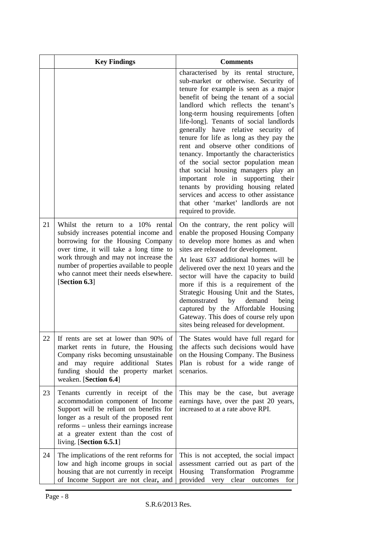|    | <b>Key Findings</b>                                                                                                                                                                                                                                                                                        | <b>Comments</b>                                                                                                                                                                                                                                                                                                                                                                                                                                                                                                                                                                                                                                                                                                                                |
|----|------------------------------------------------------------------------------------------------------------------------------------------------------------------------------------------------------------------------------------------------------------------------------------------------------------|------------------------------------------------------------------------------------------------------------------------------------------------------------------------------------------------------------------------------------------------------------------------------------------------------------------------------------------------------------------------------------------------------------------------------------------------------------------------------------------------------------------------------------------------------------------------------------------------------------------------------------------------------------------------------------------------------------------------------------------------|
|    |                                                                                                                                                                                                                                                                                                            | characterised by its rental structure,<br>sub-market or otherwise. Security of<br>tenure for example is seen as a major<br>benefit of being the tenant of a social<br>landlord which reflects the tenant's<br>long-term housing requirements [often<br>life-long]. Tenants of social landlords<br>generally have relative security of<br>tenure for life as long as they pay the<br>rent and observe other conditions of<br>tenancy. Importantly the characteristics<br>of the social sector population mean<br>that social housing managers play an<br>important role in supporting their<br>tenants by providing housing related<br>services and access to other assistance<br>that other 'market' landlords are not<br>required to provide. |
| 21 | Whilst the return to a 10% rental<br>subsidy increases potential income and<br>borrowing for the Housing Company<br>over time, it will take a long time to<br>work through and may not increase the<br>number of properties available to people<br>who cannot meet their needs elsewhere.<br>[Section 6.3] | On the contrary, the rent policy will<br>enable the proposed Housing Company<br>to develop more homes as and when<br>sites are released for development.<br>At least 637 additional homes will be<br>delivered over the next 10 years and the<br>sector will have the capacity to build<br>more if this is a requirement of the<br>Strategic Housing Unit and the States,<br>by<br>demonstrated<br>demand<br>being<br>captured by the Affordable Housing<br>Gateway. This does of course rely upon<br>sites being released for development.                                                                                                                                                                                                    |
| 22 | If rents are set at lower than 90% of<br>market rents in future, the Housing<br>Company risks becoming unsustainable<br>and may require<br>additional<br><b>States</b><br>funding should the property market<br>weaken. [Section 6.4]                                                                      | The States would have full regard for<br>the affects such decisions would have<br>on the Housing Company. The Business<br>Plan is robust for a wide range of<br>scenarios.                                                                                                                                                                                                                                                                                                                                                                                                                                                                                                                                                                     |
| 23 | Tenants currently in receipt of the<br>accommodation component of Income<br>Support will be reliant on benefits for<br>longer as a result of the proposed rent<br>reforms - unless their earnings increase<br>at a greater extent than the cost of<br>living. [Section 6.5.1]                              | This may be the case, but average<br>earnings have, over the past 20 years,<br>increased to at a rate above RPI.                                                                                                                                                                                                                                                                                                                                                                                                                                                                                                                                                                                                                               |
| 24 | The implications of the rent reforms for<br>low and high income groups in social<br>housing that are not currently in receipt<br>of Income Support are not clear, and                                                                                                                                      | This is not accepted, the social impact<br>assessment carried out as part of the<br>Transformation<br>Housing<br>Programme<br>provided<br>very<br>clear<br>outcomes<br>for                                                                                                                                                                                                                                                                                                                                                                                                                                                                                                                                                                     |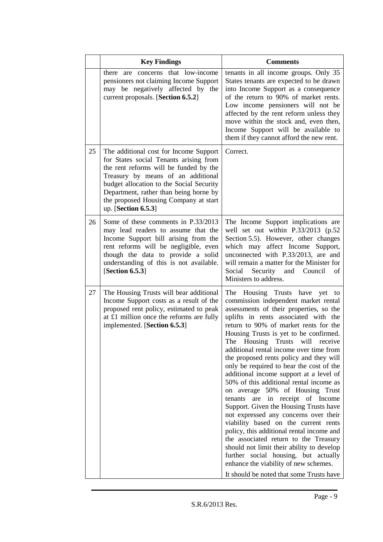|    | <b>Key Findings</b>                                                                                                                                                                                                                                                                                                    | <b>Comments</b>                                                                                                                                                                                                                                                                                                                                                                                                                                                                                                                                                                                                                                                                                                                                                                                                                                                                                                                                                              |
|----|------------------------------------------------------------------------------------------------------------------------------------------------------------------------------------------------------------------------------------------------------------------------------------------------------------------------|------------------------------------------------------------------------------------------------------------------------------------------------------------------------------------------------------------------------------------------------------------------------------------------------------------------------------------------------------------------------------------------------------------------------------------------------------------------------------------------------------------------------------------------------------------------------------------------------------------------------------------------------------------------------------------------------------------------------------------------------------------------------------------------------------------------------------------------------------------------------------------------------------------------------------------------------------------------------------|
|    | there are concerns that low-income<br>pensioners not claiming Income Support<br>may be negatively affected by the<br>current proposals. [Section 6.5.2]                                                                                                                                                                | tenants in all income groups. Only 35<br>States tenants are expected to be drawn<br>into Income Support as a consequence<br>of the return to 90% of market rents.<br>Low income pensioners will not be<br>affected by the rent reform unless they<br>move within the stock and, even then,<br>Income Support will be available to<br>them if they cannot afford the new rent.                                                                                                                                                                                                                                                                                                                                                                                                                                                                                                                                                                                                |
| 25 | The additional cost for Income Support<br>for States social Tenants arising from<br>the rent reforms will be funded by the<br>Treasury by means of an additional<br>budget allocation to the Social Security<br>Department, rather than being borne by<br>the proposed Housing Company at start<br>up. [Section 6.5.3] | Correct.                                                                                                                                                                                                                                                                                                                                                                                                                                                                                                                                                                                                                                                                                                                                                                                                                                                                                                                                                                     |
| 26 | Some of these comments in P.33/2013<br>may lead readers to assume that the<br>Income Support bill arising from the<br>rent reforms will be negligible, even<br>though the data to provide a solid<br>understanding of this is not available.<br>[Section $6.5.3$ ]                                                     | The Income Support implications are<br>well set out within P.33/2013 (p.52<br>Section 5.5). However, other changes<br>which may affect Income Support,<br>unconnected with P.33/2013, are and<br>will remain a matter for the Minister for<br>Social<br>Security<br>and<br>Council<br>of<br>Ministers to address.                                                                                                                                                                                                                                                                                                                                                                                                                                                                                                                                                                                                                                                            |
| 27 | The Housing Trusts will bear additional<br>Income Support costs as a result of the<br>proposed rent policy, estimated to peak<br>at £1 million once the reforms are fully<br>implemented. [Section 6.5.3]                                                                                                              | The Housing Trusts have yet to<br>commission independent market rental<br>assessments of their properties, so the<br>uplifts in rents associated with the<br>return to 90% of market rents for the<br>Housing Trusts is yet to be confirmed.<br>The Housing Trusts will receive<br>additional rental income over time from<br>the proposed rents policy and they will<br>only be required to bear the cost of the<br>additional income support at a level of<br>50% of this additional rental income as<br>on average 50% of Housing Trust<br>are in receipt of Income<br>tenants<br>Support. Given the Housing Trusts have<br>not expressed any concerns over their<br>viability based on the current rents<br>policy, this additional rental income and<br>the associated return to the Treasury<br>should not limit their ability to develop<br>further social housing, but actually<br>enhance the viability of new schemes.<br>It should be noted that some Trusts have |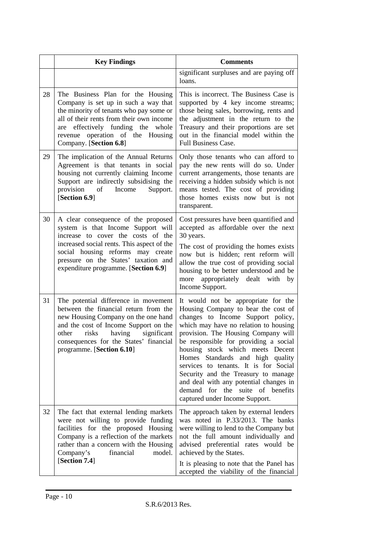|    | <b>Key Findings</b>                                                                                                                                                                                                                                                                | <b>Comments</b>                                                                                                                                                                                                                                                                                                                                                                                                                                                                                                  |
|----|------------------------------------------------------------------------------------------------------------------------------------------------------------------------------------------------------------------------------------------------------------------------------------|------------------------------------------------------------------------------------------------------------------------------------------------------------------------------------------------------------------------------------------------------------------------------------------------------------------------------------------------------------------------------------------------------------------------------------------------------------------------------------------------------------------|
|    |                                                                                                                                                                                                                                                                                    | significant surpluses and are paying off<br>loans.                                                                                                                                                                                                                                                                                                                                                                                                                                                               |
| 28 | The Business Plan for the Housing<br>Company is set up in such a way that<br>the minority of tenants who pay some or<br>all of their rents from their own income<br>effectively funding the<br>whole<br>are<br>revenue operation of the Housing<br>Company. [Section 6.8]          | This is incorrect. The Business Case is<br>supported by 4 key income streams;<br>those being sales, borrowing, rents and<br>the adjustment in the return to the<br>Treasury and their proportions are set<br>out in the financial model within the<br>Full Business Case.                                                                                                                                                                                                                                        |
| 29 | The implication of the Annual Returns<br>Agreement is that tenants in social<br>housing not currently claiming Income<br>Support are indirectly subsidising the<br>provision of<br>Income<br>Support.<br>[Section 6.9]                                                             | Only those tenants who can afford to<br>pay the new rents will do so. Under<br>current arrangements, those tenants are<br>receiving a hidden subsidy which is not<br>means tested. The cost of providing<br>those homes exists now but is not<br>transparent.                                                                                                                                                                                                                                                    |
| 30 | A clear consequence of the proposed<br>system is that Income Support will<br>increase to cover the costs of the<br>increased social rents. This aspect of the<br>social housing reforms may create<br>pressure on the States' taxation and<br>expenditure programme. [Section 6.9] | Cost pressures have been quantified and<br>accepted as affordable over the next<br>30 years.<br>The cost of providing the homes exists<br>now but is hidden; rent reform will<br>allow the true cost of providing social<br>housing to be better understood and be<br>more appropriately dealt with by<br>Income Support.                                                                                                                                                                                        |
| 31 | The potential difference in movement<br>between the financial return from the<br>new Housing Company on the one hand<br>and the cost of Income Support on the<br>risks having<br>significant<br>other<br>consequences for the States' financial<br>programme. [Section 6.10]       | It would not be appropriate for the<br>Housing Company to bear the cost of<br>changes to Income Support policy,<br>which may have no relation to housing<br>provision. The Housing Company will<br>be responsible for providing a social<br>housing stock which meets Decent<br>Homes Standards and high quality<br>services to tenants. It is for Social<br>Security and the Treasury to manage<br>and deal with any potential changes in<br>demand for the suite of benefits<br>captured under Income Support. |
| 32 | The fact that external lending markets<br>were not willing to provide funding<br>facilities for the proposed Housing<br>Company is a reflection of the markets<br>rather than a concern with the Housing<br>Company's<br>financial<br>model.<br>[Section 7.4]                      | The approach taken by external lenders<br>was noted in P.33/2013. The banks<br>were willing to lend to the Company but<br>not the full amount individually and<br>advised preferential rates would be<br>achieved by the States.<br>It is pleasing to note that the Panel has<br>accepted the viability of the financial                                                                                                                                                                                         |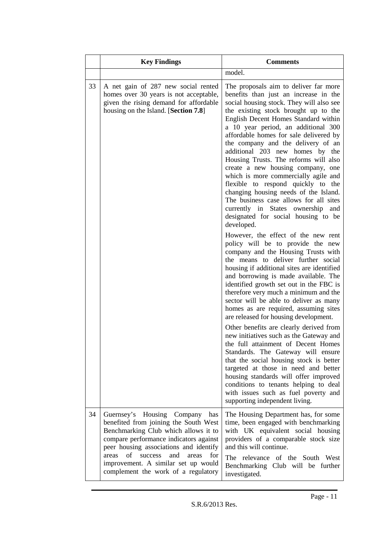|    | <b>Key Findings</b>                                                                                                                                                                                                                                                                                                                      | <b>Comments</b>                                                                                                                                                                                                                                                                                                                                                                                                                                                                                                                                                                                                                                                                                                                                                                                                                                                                |
|----|------------------------------------------------------------------------------------------------------------------------------------------------------------------------------------------------------------------------------------------------------------------------------------------------------------------------------------------|--------------------------------------------------------------------------------------------------------------------------------------------------------------------------------------------------------------------------------------------------------------------------------------------------------------------------------------------------------------------------------------------------------------------------------------------------------------------------------------------------------------------------------------------------------------------------------------------------------------------------------------------------------------------------------------------------------------------------------------------------------------------------------------------------------------------------------------------------------------------------------|
|    |                                                                                                                                                                                                                                                                                                                                          | model.                                                                                                                                                                                                                                                                                                                                                                                                                                                                                                                                                                                                                                                                                                                                                                                                                                                                         |
| 33 | A net gain of 287 new social rented<br>homes over 30 years is not acceptable,<br>given the rising demand for affordable<br>housing on the Island. [Section 7.8]                                                                                                                                                                          | The proposals aim to deliver far more<br>benefits than just an increase in the<br>social housing stock. They will also see<br>the existing stock brought up to the<br>English Decent Homes Standard within<br>a 10 year period, an additional 300<br>affordable homes for sale delivered by<br>the company and the delivery of an<br>additional 203 new homes by the<br>Housing Trusts. The reforms will also<br>create a new housing company, one<br>which is more commercially agile and<br>flexible to respond quickly to the<br>changing housing needs of the Island.<br>The business case allows for all sites<br>currently in States ownership<br>and<br>designated for social housing to be<br>developed.                                                                                                                                                               |
|    |                                                                                                                                                                                                                                                                                                                                          | However, the effect of the new rent<br>policy will be to provide the new<br>company and the Housing Trusts with<br>the means to deliver further social<br>housing if additional sites are identified<br>and borrowing is made available. The<br>identified growth set out in the FBC is<br>therefore very much a minimum and the<br>sector will be able to deliver as many<br>homes as are required, assuming sites<br>are released for housing development.<br>Other benefits are clearly derived from<br>new initiatives such as the Gateway and<br>the full attainment of Decent Homes<br>Standards. The Gateway will ensure<br>that the social housing stock is better<br>targeted at those in need and better<br>housing standards will offer improved<br>conditions to tenants helping to deal<br>with issues such as fuel poverty and<br>supporting independent living. |
| 34 | Housing<br>Guernsey's<br>Company has<br>benefited from joining the South West<br>Benchmarking Club which allows it to<br>compare performance indicators against<br>peer housing associations and identify<br>areas<br>of<br>success<br>and<br>areas<br>for<br>improvement. A similar set up would<br>complement the work of a regulatory | The Housing Department has, for some<br>time, been engaged with benchmarking<br>with UK equivalent social housing<br>providers of a comparable stock size<br>and this will continue.<br>The relevance of the South West<br>Benchmarking Club will be further<br>investigated.                                                                                                                                                                                                                                                                                                                                                                                                                                                                                                                                                                                                  |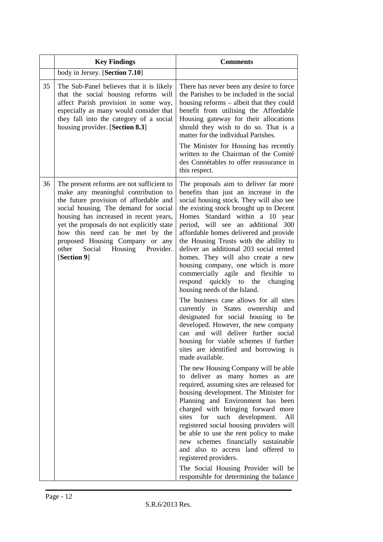|    | <b>Key Findings</b>                                                                                                                                                                                                                                                                                                                                                                  | <b>Comments</b>                                                                                                                                                                                                                                                                                                                                                                                                                                                                                                                                                                                                                                                                                                                                                                                                                                                                                                                                                                                                                                                                                                                                                                                                                                                                                                                                                                                                                                         |
|----|--------------------------------------------------------------------------------------------------------------------------------------------------------------------------------------------------------------------------------------------------------------------------------------------------------------------------------------------------------------------------------------|---------------------------------------------------------------------------------------------------------------------------------------------------------------------------------------------------------------------------------------------------------------------------------------------------------------------------------------------------------------------------------------------------------------------------------------------------------------------------------------------------------------------------------------------------------------------------------------------------------------------------------------------------------------------------------------------------------------------------------------------------------------------------------------------------------------------------------------------------------------------------------------------------------------------------------------------------------------------------------------------------------------------------------------------------------------------------------------------------------------------------------------------------------------------------------------------------------------------------------------------------------------------------------------------------------------------------------------------------------------------------------------------------------------------------------------------------------|
|    | body in Jersey. [Section 7.10]                                                                                                                                                                                                                                                                                                                                                       |                                                                                                                                                                                                                                                                                                                                                                                                                                                                                                                                                                                                                                                                                                                                                                                                                                                                                                                                                                                                                                                                                                                                                                                                                                                                                                                                                                                                                                                         |
| 35 | The Sub-Panel believes that it is likely<br>that the social housing reforms will<br>affect Parish provision in some way,<br>especially as many would consider that<br>they fall into the category of a social<br>housing provider. [Section 8.3]                                                                                                                                     | There has never been any desire to force<br>the Parishes to be included in the social<br>housing reforms – albeit that they could<br>benefit from utilising the Affordable<br>Housing gateway for their allocations<br>should they wish to do so. That is a<br>matter for the individual Parishes.<br>The Minister for Housing has recently<br>written to the Chairman of the Comité<br>des Connétables to offer reassurance in<br>this respect.                                                                                                                                                                                                                                                                                                                                                                                                                                                                                                                                                                                                                                                                                                                                                                                                                                                                                                                                                                                                        |
| 36 | The present reforms are not sufficient to<br>make any meaningful contribution to<br>the future provision of affordable and<br>social housing. The demand for social<br>housing has increased in recent years,<br>yet the proposals do not explicitly state<br>how this need can be met by the<br>proposed Housing Company or any<br>other<br>Social Housing Provider.<br>[Section 9] | The proposals aim to deliver far more<br>benefits than just an increase in the<br>social housing stock. They will also see<br>the existing stock brought up to Decent<br>Homes Standard within a 10 year<br>period, will see an additional 300<br>affordable homes delivered and provide<br>the Housing Trusts with the ability to<br>deliver an additional 203 social rented<br>homes. They will also create a new<br>housing company, one which is more<br>commercially agile and flexible to<br>respond quickly to the<br>changing<br>housing needs of the Island.<br>The business case allows for all sites<br>currently in States ownership<br>and<br>designated for social housing to be<br>developed. However, the new company<br>can and will deliver further social<br>housing for viable schemes if further<br>sites are identified and borrowing is<br>made available.<br>The new Housing Company will be able<br>to deliver as many homes as are<br>required, assuming sites are released for<br>housing development. The Minister for<br>Planning and Environment has been<br>charged with bringing forward more<br>for<br>such development.<br>sites<br>All<br>registered social housing providers will<br>be able to use the rent policy to make<br>new schemes financially sustainable<br>and also to access land offered to<br>registered providers.<br>The Social Housing Provider will be<br>responsible for determining the balance |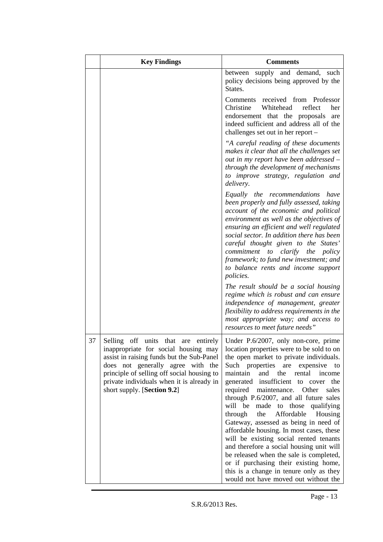|    | <b>Key Findings</b>                                                                                                                                                                                                                              | <b>Comments</b>                                                                                                                                                                                                                                                                                                                                                                                                                                                                                                                                                                                                                                                                                                                                                                                                    |
|----|--------------------------------------------------------------------------------------------------------------------------------------------------------------------------------------------------------------------------------------------------|--------------------------------------------------------------------------------------------------------------------------------------------------------------------------------------------------------------------------------------------------------------------------------------------------------------------------------------------------------------------------------------------------------------------------------------------------------------------------------------------------------------------------------------------------------------------------------------------------------------------------------------------------------------------------------------------------------------------------------------------------------------------------------------------------------------------|
|    |                                                                                                                                                                                                                                                  | between supply and demand, such<br>policy decisions being approved by the<br>States.                                                                                                                                                                                                                                                                                                                                                                                                                                                                                                                                                                                                                                                                                                                               |
|    |                                                                                                                                                                                                                                                  | Comments received from Professor<br>Whitehead<br>Christine<br>reflect<br>her<br>endorsement that the proposals<br>are<br>indeed sufficient and address all of the<br>challenges set out in her report -                                                                                                                                                                                                                                                                                                                                                                                                                                                                                                                                                                                                            |
|    |                                                                                                                                                                                                                                                  | "A careful reading of these documents<br>makes it clear that all the challenges set<br>out in my report have been addressed –<br>through the development of mechanisms<br>to improve strategy, regulation and<br>delivery.                                                                                                                                                                                                                                                                                                                                                                                                                                                                                                                                                                                         |
|    |                                                                                                                                                                                                                                                  | Equally the recommendations<br>have<br>been properly and fully assessed, taking<br>account of the economic and political<br>environment as well as the objectives of<br>ensuring an efficient and well regulated<br>social sector. In addition there has been<br>careful thought given to the States'<br><i>commitment to clarify</i><br>the<br>policy<br>framework; to fund new investment; and<br>to balance rents and income support<br><i>policies.</i>                                                                                                                                                                                                                                                                                                                                                        |
|    |                                                                                                                                                                                                                                                  | The result should be a social housing<br>regime which is robust and can ensure<br>independence of management, greater<br>flexibility to address requirements in the<br>most appropriate way; and access to<br>resources to meet future needs"                                                                                                                                                                                                                                                                                                                                                                                                                                                                                                                                                                      |
| 37 | inappropriate for social housing may<br>assist in raising funds but the Sub-Panel<br>does not generally agree with the<br>principle of selling off social housing to<br>private individuals when it is already in<br>short supply. [Section 9.2] | Selling off units that are entirely Under P.6/2007, only non-core, prime<br>location properties were to be sold to on<br>the open market to private individuals.<br>Such properties are expensive<br>to<br>maintain<br>and the<br>rental<br>income<br>generated insufficient to cover the<br>required<br>maintenance.<br>Other<br>sales<br>through P.6/2007, and all future sales<br>will be made to those qualifying<br>the<br>Affordable<br>through<br>Housing<br>Gateway, assessed as being in need of<br>affordable housing. In most cases, these<br>will be existing social rented tenants<br>and therefore a social housing unit will<br>be released when the sale is completed,<br>or if purchasing their existing home,<br>this is a change in tenure only as they<br>would not have moved out without the |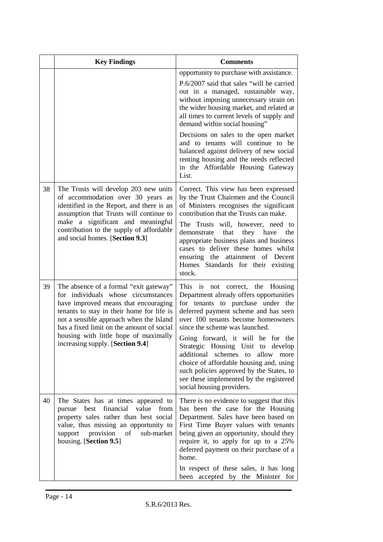|    | <b>Key Findings</b>                                                                                                                                                                                                                                                                                                                     | <b>Comments</b>                                                                                                                                                                                                                                                                                                                                                                                                                                                                                                           |
|----|-----------------------------------------------------------------------------------------------------------------------------------------------------------------------------------------------------------------------------------------------------------------------------------------------------------------------------------------|---------------------------------------------------------------------------------------------------------------------------------------------------------------------------------------------------------------------------------------------------------------------------------------------------------------------------------------------------------------------------------------------------------------------------------------------------------------------------------------------------------------------------|
|    |                                                                                                                                                                                                                                                                                                                                         | opportunity to purchase with assistance.<br>P.6/2007 said that sales "will be carried<br>out in a managed, sustainable way,<br>without imposing unnecessary strain on<br>the wider housing market, and related at<br>all times to current levels of supply and<br>demand within social housing"                                                                                                                                                                                                                           |
|    |                                                                                                                                                                                                                                                                                                                                         | Decisions on sales to the open market<br>and to tenants will continue to be<br>balanced against delivery of new social<br>renting housing and the needs reflected<br>in the Affordable Housing Gateway<br>List.                                                                                                                                                                                                                                                                                                           |
| 38 | The Trusts will develop 203 new units<br>of accommodation over 30 years as<br>identified in the Report, and there is an<br>assumption that Trusts will continue to<br>make a significant and meaningful<br>contribution to the supply of affordable<br>and social homes. [Section 9.3]                                                  | Correct. This view has been expressed<br>by the Trust Chairmen and the Council<br>of Ministers recognises the significant<br>contribution that the Trusts can make.<br>The Trusts will, however, need to<br>that<br>demonstrate<br>they<br>have<br>the<br>appropriate business plans and business<br>cases to deliver these homes whilst<br>ensuring the attainment of Decent<br>Homes Standards for their existing<br>stock.                                                                                             |
| 39 | The absence of a formal "exit gateway"<br>for individuals whose circumstances<br>have improved means that encouraging<br>tenants to stay in their home for life is<br>not a sensible approach when the Island<br>has a fixed limit on the amount of social<br>housing with little hope of maximally<br>increasing supply. [Section 9.4] | This is not correct, the Housing<br>Department already offers opportunities<br>for tenants to purchase under the<br>deferred payment scheme and has seen<br>over 100 tenants become homeowners<br>since the scheme was launched.<br>Going forward, it will be for the<br>Strategic Housing Unit to develop<br>additional<br>schemes<br>to<br>allow<br>more<br>choice of affordable housing and, using<br>such policies approved by the States, to<br>see these implemented by the registered<br>social housing providers. |
| 40 | The States has at times appeared to<br>value<br>best financial<br>from<br>pursue<br>property sales rather than best social<br>value, thus missing an opportunity to<br>of<br>support provision<br>sub-market<br>housing. [Section 9.5]                                                                                                  | There is no evidence to suggest that this<br>has been the case for the Housing<br>Department. Sales have been based on<br>First Time Buyer values with tenants<br>being given an opportunity, should they<br>require it, to apply for up to a 25%<br>deferred payment on their purchase of a<br>home.<br>In respect of these sales, it has long<br>been accepted by the Minister for                                                                                                                                      |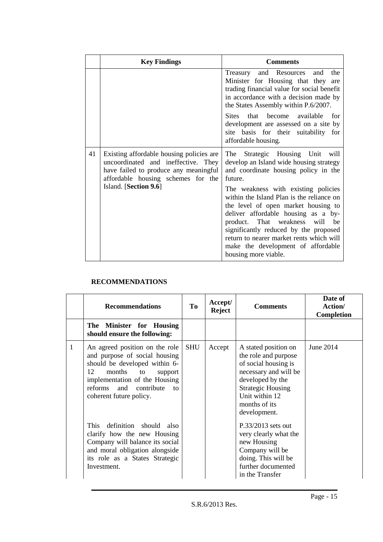|    | <b>Key Findings</b>                                                                                                                                                                     | <b>Comments</b>                                                                                                                                                                                                                                                                                                                                                                                                                                                                               |
|----|-----------------------------------------------------------------------------------------------------------------------------------------------------------------------------------------|-----------------------------------------------------------------------------------------------------------------------------------------------------------------------------------------------------------------------------------------------------------------------------------------------------------------------------------------------------------------------------------------------------------------------------------------------------------------------------------------------|
|    |                                                                                                                                                                                         | Treasury and Resources<br>and the<br>Minister for Housing that they are<br>trading financial value for social benefit<br>in accordance with a decision made by<br>the States Assembly within P.6/2007.<br>that become available<br><b>Sites</b><br>for<br>development are assessed on a site by<br>site basis for their suitability for<br>affordable housing.                                                                                                                                |
| 41 | Existing affordable housing policies are<br>uncoordinated and ineffective. They<br>have failed to produce any meaningful<br>affordable housing schemes for the<br>Island. [Section 9.6] | The<br>Strategic Housing Unit<br>will<br>develop an Island wide housing strategy<br>and coordinate housing policy in the<br>future.<br>The weakness with existing policies<br>within the Island Plan is the reliance on<br>the level of open market housing to<br>deliver affordable housing as a by-<br>product. That weakness will<br>be<br>significantly reduced by the proposed<br>return to nearer market rents which will<br>make the development of affordable<br>housing more viable. |

### **RECOMMENDATIONS**

|              | <b>Recommendations</b>                                                                                                                                                                                                                   | To         | Accept/<br><b>Reject</b> | <b>Comments</b>                                                                                                                                                                                  | Date of<br>Action/<br><b>Completion</b> |
|--------------|------------------------------------------------------------------------------------------------------------------------------------------------------------------------------------------------------------------------------------------|------------|--------------------------|--------------------------------------------------------------------------------------------------------------------------------------------------------------------------------------------------|-----------------------------------------|
|              | The Minister for Housing<br>should ensure the following:                                                                                                                                                                                 |            |                          |                                                                                                                                                                                                  |                                         |
| $\mathbf{1}$ | An agreed position on the role<br>and purpose of social housing<br>should be developed within 6-<br>12<br>months<br>to<br>support<br>implementation of the Housing<br>reforms and contribute<br>$\mathsf{to}$<br>coherent future policy. | <b>SHU</b> | Accept                   | A stated position on<br>the role and purpose<br>of social housing is<br>necessary and will be<br>developed by the<br><b>Strategic Housing</b><br>Unit within 12<br>months of its<br>development. | June 2014                               |
|              | definition should<br><b>This</b><br>also<br>clarify how the new Housing<br>Company will balance its social<br>and moral obligation alongside<br>its role as a States Strategic<br>Investment.                                            |            |                          | $P.33/2013$ sets out<br>very clearly what the<br>new Housing<br>Company will be<br>doing. This will be<br>further documented<br>in the Transfer                                                  |                                         |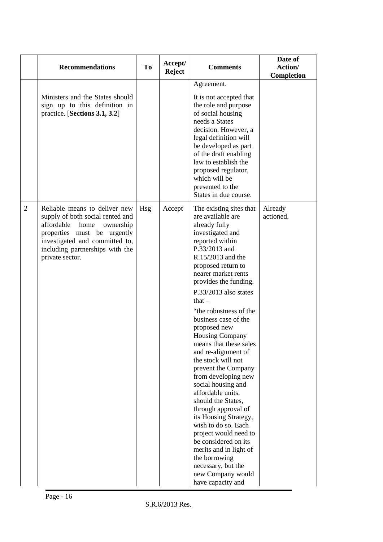|                | <b>Recommendations</b>                                                                                                                                                                                                      | <b>To</b>  | Accept/<br><b>Reject</b> | <b>Comments</b>                                                                                                                                                                                                                                                                                                                                                                                                                                                                                                                                                                                                                                                                                                                                                            | Date of<br>Action/<br>Completion |
|----------------|-----------------------------------------------------------------------------------------------------------------------------------------------------------------------------------------------------------------------------|------------|--------------------------|----------------------------------------------------------------------------------------------------------------------------------------------------------------------------------------------------------------------------------------------------------------------------------------------------------------------------------------------------------------------------------------------------------------------------------------------------------------------------------------------------------------------------------------------------------------------------------------------------------------------------------------------------------------------------------------------------------------------------------------------------------------------------|----------------------------------|
|                | Ministers and the States should<br>sign up to this definition in<br>practice. [Sections 3.1, 3.2]                                                                                                                           |            |                          | Agreement.<br>It is not accepted that<br>the role and purpose<br>of social housing<br>needs a States<br>decision. However, a<br>legal definition will<br>be developed as part<br>of the draft enabling<br>law to establish the<br>proposed regulator,<br>which will be<br>presented to the<br>States in due course.                                                                                                                                                                                                                                                                                                                                                                                                                                                        |                                  |
| $\overline{2}$ | Reliable means to deliver new<br>supply of both social rented and<br>affordable<br>home<br>ownership<br>properties must be urgently<br>investigated and committed to,<br>including partnerships with the<br>private sector. | <b>Hsg</b> | Accept                   | The existing sites that<br>are available are<br>already fully<br>investigated and<br>reported within<br>P.33/2013 and<br>R.15/2013 and the<br>proposed return to<br>nearer market rents<br>provides the funding.<br>P.33/2013 also states<br>$that -$<br>"the robustness of the<br>business case of the<br>proposed new<br><b>Housing Company</b><br>means that these sales<br>and re-alignment of<br>the stock will not<br>prevent the Company<br>from developing new<br>social housing and<br>affordable units,<br>should the States,<br>through approval of<br>its Housing Strategy,<br>wish to do so. Each<br>project would need to<br>be considered on its<br>merits and in light of<br>the borrowing<br>necessary, but the<br>new Company would<br>have capacity and | Already<br>actioned.             |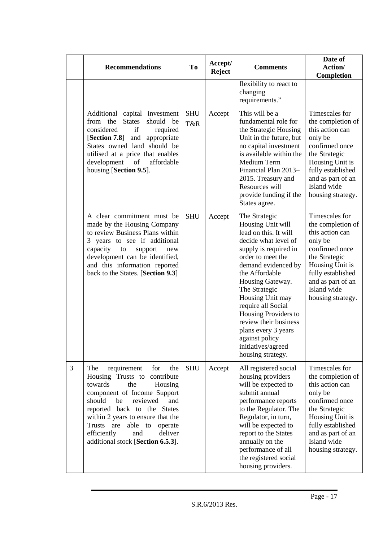|   | <b>Recommendations</b>                                                                                                                                                                                                                                                                                                                        | <b>To</b>         | Accept/<br><b>Reject</b> | <b>Comments</b>                                                                                                                                                                                                                                                                                                                                                                                | Date of<br>Action/                                                                                                                                                                                    |
|---|-----------------------------------------------------------------------------------------------------------------------------------------------------------------------------------------------------------------------------------------------------------------------------------------------------------------------------------------------|-------------------|--------------------------|------------------------------------------------------------------------------------------------------------------------------------------------------------------------------------------------------------------------------------------------------------------------------------------------------------------------------------------------------------------------------------------------|-------------------------------------------------------------------------------------------------------------------------------------------------------------------------------------------------------|
|   |                                                                                                                                                                                                                                                                                                                                               |                   |                          | flexibility to react to<br>changing<br>requirements."                                                                                                                                                                                                                                                                                                                                          | Completion                                                                                                                                                                                            |
|   | Additional capital investment<br>from the<br><b>States</b><br>should<br>be<br>considered<br>if<br>required<br>[Section 7.8] and<br>appropriate<br>States owned land should be<br>utilised at a price that enables<br>affordable<br>development of<br>housing [Section 9.5].                                                                   | <b>SHU</b><br>T&R | Accept                   | This will be a<br>fundamental role for<br>the Strategic Housing<br>Unit in the future, but<br>no capital investment<br>is available within the<br>Medium Term<br>Financial Plan 2013-<br>2015. Treasury and<br>Resources will<br>provide funding if the<br>States agree.                                                                                                                       | Timescales for<br>the completion of<br>this action can<br>only be<br>confirmed once<br>the Strategic<br>Housing Unit is<br>fully established<br>and as part of an<br>Island wide<br>housing strategy. |
|   | A clear commitment must be<br>made by the Housing Company<br>to review Business Plans within<br>3 years to see if additional<br>capacity<br>to<br>support<br>new<br>development can be identified,<br>and this information reported<br>back to the States. [Section 9.3]                                                                      | <b>SHU</b>        | Accept                   | The Strategic<br>Housing Unit will<br>lead on this. It will<br>decide what level of<br>supply is required in<br>order to meet the<br>demand evidenced by<br>the Affordable<br>Housing Gateway.<br>The Strategic<br>Housing Unit may<br>require all Social<br>Housing Providers to<br>review their business<br>plans every 3 years<br>against policy<br>initiatives/agreed<br>housing strategy. | Timescales for<br>the completion of<br>this action can<br>only be<br>confirmed once<br>the Strategic<br>Housing Unit is<br>fully established<br>and as part of an<br>Island wide<br>housing strategy. |
| 3 | The<br>requirement<br>for<br>the<br>Housing Trusts to contribute<br>towards<br>the<br>Housing<br>component of Income Support<br>reviewed<br>should<br>be<br>and<br>reported back to the States<br>within 2 years to ensure that the<br>Trusts are<br>able to<br>operate<br>efficiently<br>deliver<br>and<br>additional stock [Section 6.5.3]. | <b>SHU</b>        | Accept                   | All registered social<br>housing providers<br>will be expected to<br>submit annual<br>performance reports<br>to the Regulator. The<br>Regulator, in turn,<br>will be expected to<br>report to the States<br>annually on the<br>performance of all<br>the registered social<br>housing providers.                                                                                               | Timescales for<br>the completion of<br>this action can<br>only be<br>confirmed once<br>the Strategic<br>Housing Unit is<br>fully established<br>and as part of an<br>Island wide<br>housing strategy. |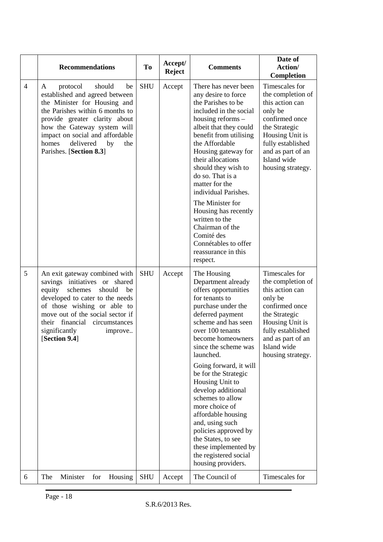|                | <b>Recommendations</b>                                                                                                                                                                                                                                                                              | <b>To</b>  | Accept/<br><b>Reject</b> | <b>Comments</b>                                                                                                                                                                                                                                                                                                                                                                                                                                                                                                           | Date of<br>Action/<br>Completion                                                                                                                                                                      |
|----------------|-----------------------------------------------------------------------------------------------------------------------------------------------------------------------------------------------------------------------------------------------------------------------------------------------------|------------|--------------------------|---------------------------------------------------------------------------------------------------------------------------------------------------------------------------------------------------------------------------------------------------------------------------------------------------------------------------------------------------------------------------------------------------------------------------------------------------------------------------------------------------------------------------|-------------------------------------------------------------------------------------------------------------------------------------------------------------------------------------------------------|
| $\overline{4}$ | protocol<br>should<br>A<br>be<br>established and agreed between<br>the Minister for Housing and<br>the Parishes within 6 months to<br>provide greater clarity about<br>how the Gateway system will<br>impact on social and affordable<br>delivered<br>homes<br>by<br>the<br>Parishes. [Section 8.3] | <b>SHU</b> | Accept                   | There has never been<br>any desire to force<br>the Parishes to be<br>included in the social<br>housing reforms -<br>albeit that they could<br>benefit from utilising<br>the Affordable<br>Housing gateway for<br>their allocations<br>should they wish to<br>do so. That is a<br>matter for the<br>individual Parishes.<br>The Minister for<br>Housing has recently<br>written to the<br>Chairman of the<br>Comité des<br>Connétables to offer<br>reassurance in this<br>respect.                                         | Timescales for<br>the completion of<br>this action can<br>only be<br>confirmed once<br>the Strategic<br>Housing Unit is<br>fully established<br>and as part of an<br>Island wide<br>housing strategy. |
| 5              | An exit gateway combined with<br>savings initiatives or shared<br>equity<br>schemes<br>should<br>be<br>developed to cater to the needs<br>of those wishing or able to<br>move out of the social sector if<br>their financial<br>circumstances<br>significantly<br>improve<br>[Section 9.4]          | <b>SHU</b> | Accept                   | The Housing<br>Department already<br>offers opportunities<br>for tenants to<br>purchase under the<br>deferred payment<br>scheme and has seen<br>over 100 tenants<br>become homeowners<br>since the scheme was<br>launched.<br>Going forward, it will<br>be for the Strategic<br>Housing Unit to<br>develop additional<br>schemes to allow<br>more choice of<br>affordable housing<br>and, using such<br>policies approved by<br>the States, to see<br>these implemented by<br>the registered social<br>housing providers. | Timescales for<br>the completion of<br>this action can<br>only be<br>confirmed once<br>the Strategic<br>Housing Unit is<br>fully established<br>and as part of an<br>Island wide<br>housing strategy. |
| 6              | The<br>Minister<br>for<br>Housing                                                                                                                                                                                                                                                                   | <b>SHU</b> | Accept                   | The Council of                                                                                                                                                                                                                                                                                                                                                                                                                                                                                                            | Timescales for                                                                                                                                                                                        |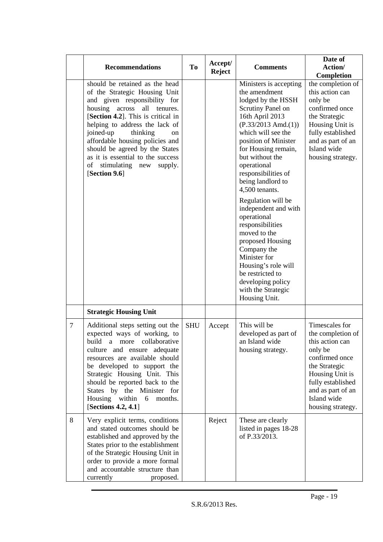|                | <b>Recommendations</b>                                                                                                                                                                                                                                                                                                                                                                                     | To         | Accept/<br><b>Reject</b> | <b>Comments</b>                                                                                                                                                                                                                                                                                                                                                                                                                                                                                                                                                   | Date of<br>Action/                                                                                                                                                                                    |
|----------------|------------------------------------------------------------------------------------------------------------------------------------------------------------------------------------------------------------------------------------------------------------------------------------------------------------------------------------------------------------------------------------------------------------|------------|--------------------------|-------------------------------------------------------------------------------------------------------------------------------------------------------------------------------------------------------------------------------------------------------------------------------------------------------------------------------------------------------------------------------------------------------------------------------------------------------------------------------------------------------------------------------------------------------------------|-------------------------------------------------------------------------------------------------------------------------------------------------------------------------------------------------------|
|                | should be retained as the head<br>of the Strategic Housing Unit<br>and given responsibility for<br>housing across<br>all<br>tenures.<br>[Section 4.2]. This is critical in<br>helping to address the lack of<br>joined-up<br>thinking<br>on<br>affordable housing policies and<br>should be agreed by the States<br>as it is essential to the success<br>stimulating new<br>supply.<br>of<br>[Section 9.6] |            |                          | Ministers is accepting<br>the amendment<br>lodged by the HSSH<br>Scrutiny Panel on<br>16th April 2013<br>$(P.33/2013$ Amd. $(1))$<br>which will see the<br>position of Minister<br>for Housing remain,<br>but without the<br>operational<br>responsibilities of<br>being landlord to<br>4,500 tenants.<br>Regulation will be<br>independent and with<br>operational<br>responsibilities<br>moved to the<br>proposed Housing<br>Company the<br>Minister for<br>Housing's role will<br>be restricted to<br>developing policy<br>with the Strategic<br>Housing Unit. | Completion<br>the completion of<br>this action can<br>only be<br>confirmed once<br>the Strategic<br>Housing Unit is<br>fully established<br>and as part of an<br>Island wide<br>housing strategy.     |
|                | <b>Strategic Housing Unit</b>                                                                                                                                                                                                                                                                                                                                                                              |            |                          |                                                                                                                                                                                                                                                                                                                                                                                                                                                                                                                                                                   |                                                                                                                                                                                                       |
| $\overline{7}$ | Additional steps setting out the<br>expected ways of working, to<br>build a more collaborative<br>culture and ensure adequate<br>resources are available should<br>be developed to support the<br>Strategic Housing Unit. This<br>should be reported back to the<br>States by the Minister for<br>Housing within<br>6<br>months.<br>[Sections 4.2, 4.1]                                                    | <b>SHU</b> | Accept                   | This will be<br>developed as part of<br>an Island wide<br>housing strategy.                                                                                                                                                                                                                                                                                                                                                                                                                                                                                       | Timescales for<br>the completion of<br>this action can<br>only be<br>confirmed once<br>the Strategic<br>Housing Unit is<br>fully established<br>and as part of an<br>Island wide<br>housing strategy. |
| 8              | Very explicit terms, conditions<br>and stated outcomes should be<br>established and approved by the<br>States prior to the establishment<br>of the Strategic Housing Unit in<br>order to provide a more formal<br>and accountable structure than<br>currently<br>proposed.                                                                                                                                 |            | Reject                   | These are clearly<br>listed in pages 18-28<br>of P.33/2013.                                                                                                                                                                                                                                                                                                                                                                                                                                                                                                       |                                                                                                                                                                                                       |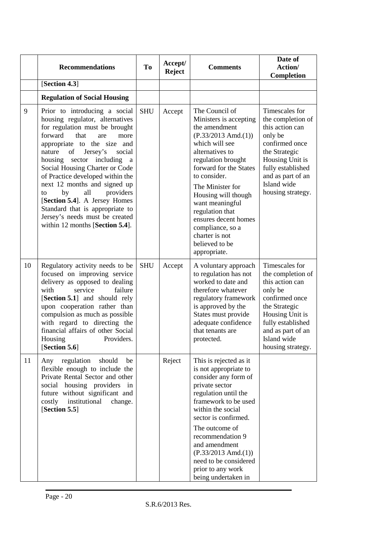|    | <b>Recommendations</b>                                                                                                                                                                                                                                                                                                                                                                                                                                                                                                       | To         | Accept/<br><b>Reject</b> | <b>Comments</b>                                                                                                                                                                                                                                                                                                                                                             | Date of<br>Action/<br>Completion                                                                                                                                                                      |
|----|------------------------------------------------------------------------------------------------------------------------------------------------------------------------------------------------------------------------------------------------------------------------------------------------------------------------------------------------------------------------------------------------------------------------------------------------------------------------------------------------------------------------------|------------|--------------------------|-----------------------------------------------------------------------------------------------------------------------------------------------------------------------------------------------------------------------------------------------------------------------------------------------------------------------------------------------------------------------------|-------------------------------------------------------------------------------------------------------------------------------------------------------------------------------------------------------|
|    | [Section 4.3]                                                                                                                                                                                                                                                                                                                                                                                                                                                                                                                |            |                          |                                                                                                                                                                                                                                                                                                                                                                             |                                                                                                                                                                                                       |
|    | <b>Regulation of Social Housing</b>                                                                                                                                                                                                                                                                                                                                                                                                                                                                                          |            |                          |                                                                                                                                                                                                                                                                                                                                                                             |                                                                                                                                                                                                       |
| 9  | Prior to introducing a social<br>housing regulator, alternatives<br>for regulation must be brought<br>forward<br>that<br>are<br>more<br>appropriate to the size and<br>of Jersey's<br>nature<br>social<br>housing<br>sector<br>including<br>a<br>Social Housing Charter or Code<br>of Practice developed within the<br>next 12 months and signed up<br>by<br>providers<br>all<br>to<br>[Section 5.4]. A Jersey Homes<br>Standard that is appropriate to<br>Jersey's needs must be created<br>within 12 months [Section 5.4]. | <b>SHU</b> | Accept                   | The Council of<br>Ministers is accepting<br>the amendment<br>$(P.33/2013$ Amd. $(1))$<br>which will see<br>alternatives to<br>regulation brought<br>forward for the States<br>to consider.<br>The Minister for<br>Housing will though<br>want meaningful<br>regulation that<br>ensures decent homes<br>compliance, so a<br>charter is not<br>believed to be<br>appropriate. | Timescales for<br>the completion of<br>this action can<br>only be<br>confirmed once<br>the Strategic<br>Housing Unit is<br>fully established<br>and as part of an<br>Island wide<br>housing strategy. |
| 10 | Regulatory activity needs to be<br>focused on improving service<br>delivery as opposed to dealing<br>with<br>service<br>failure<br>[Section 5.1] and should rely<br>upon cooperation rather than<br>compulsion as much as possible<br>with regard to directing the<br>financial affairs of other Social<br>Housing<br>Providers.<br>[Section 5.6]                                                                                                                                                                            | <b>SHU</b> | Accept                   | A voluntary approach<br>to regulation has not<br>worked to date and<br>therefore whatever<br>regulatory framework<br>is approved by the<br>States must provide<br>adequate confidence<br>that tenants are<br>protected.                                                                                                                                                     | Timescales for<br>the completion of<br>this action can<br>only be<br>confirmed once<br>the Strategic<br>Housing Unit is<br>fully established<br>and as part of an<br>Island wide<br>housing strategy. |
| 11 | regulation<br>Any<br>should<br>be<br>flexible enough to include the<br>Private Rental Sector and other<br>social housing providers in<br>future without significant and<br>costly<br>institutional<br>change.<br>[Section 5.5]                                                                                                                                                                                                                                                                                               |            | Reject                   | This is rejected as it<br>is not appropriate to<br>consider any form of<br>private sector<br>regulation until the<br>framework to be used<br>within the social<br>sector is confirmed.<br>The outcome of<br>recommendation 9<br>and amendment<br>$(P.33/2013$ Amd.(1))<br>need to be considered<br>prior to any work<br>being undertaken in                                 |                                                                                                                                                                                                       |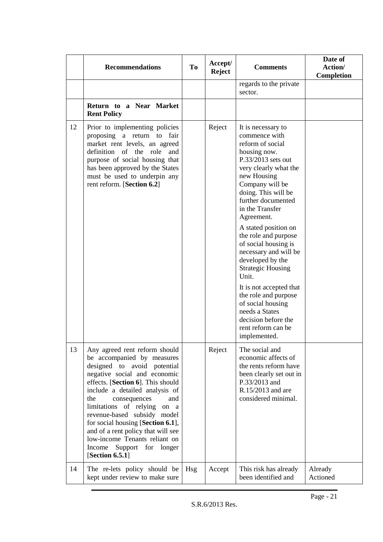|    | <b>Recommendations</b>                                                                                                                                                                                                                                                                                                                                                                                                                                             | T <sub>o</sub> | Accept/<br><b>Reject</b> | <b>Comments</b>                                                                                                                                                                                                                                                                                                                                                                                                                                                                                                                                         | Date of<br>Action/<br>Completion |
|----|--------------------------------------------------------------------------------------------------------------------------------------------------------------------------------------------------------------------------------------------------------------------------------------------------------------------------------------------------------------------------------------------------------------------------------------------------------------------|----------------|--------------------------|---------------------------------------------------------------------------------------------------------------------------------------------------------------------------------------------------------------------------------------------------------------------------------------------------------------------------------------------------------------------------------------------------------------------------------------------------------------------------------------------------------------------------------------------------------|----------------------------------|
|    |                                                                                                                                                                                                                                                                                                                                                                                                                                                                    |                |                          | regards to the private<br>sector.                                                                                                                                                                                                                                                                                                                                                                                                                                                                                                                       |                                  |
|    | Return to a Near Market<br><b>Rent Policy</b>                                                                                                                                                                                                                                                                                                                                                                                                                      |                |                          |                                                                                                                                                                                                                                                                                                                                                                                                                                                                                                                                                         |                                  |
| 12 | Prior to implementing policies<br>proposing a return to fair<br>market rent levels, an agreed<br>definition of the role and<br>purpose of social housing that<br>has been approved by the States<br>must be used to underpin any<br>rent reform. [Section 6.2]                                                                                                                                                                                                     |                | Reject                   | It is necessary to<br>commence with<br>reform of social<br>housing now.<br>P.33/2013 sets out<br>very clearly what the<br>new Housing<br>Company will be<br>doing. This will be<br>further documented<br>in the Transfer<br>Agreement.<br>A stated position on<br>the role and purpose<br>of social housing is<br>necessary and will be<br>developed by the<br><b>Strategic Housing</b><br>Unit.<br>It is not accepted that<br>the role and purpose<br>of social housing<br>needs a States<br>decision before the<br>rent reform can be<br>implemented. |                                  |
| 13 | Any agreed rent reform should<br>be accompanied by measures<br>designed to avoid potential<br>negative social and economic<br>effects. [Section 6]. This should<br>include a detailed analysis of<br>the<br>consequences<br>and<br>limitations of relying<br>on a<br>revenue-based subsidy model<br>for social housing [Section 6.1],<br>and of a rent policy that will see<br>low-income Tenants reliant on<br>Support for longer<br>Income<br>[Section $6.5.1$ ] |                | Reject                   | The social and<br>economic affects of<br>the rents reform have<br>been clearly set out in<br>P.33/2013 and<br>R.15/2013 and are<br>considered minimal.                                                                                                                                                                                                                                                                                                                                                                                                  |                                  |
| 14 | The re-lets policy should be<br>kept under review to make sure                                                                                                                                                                                                                                                                                                                                                                                                     | Hsg            | Accept                   | This risk has already<br>been identified and                                                                                                                                                                                                                                                                                                                                                                                                                                                                                                            | Already<br>Actioned              |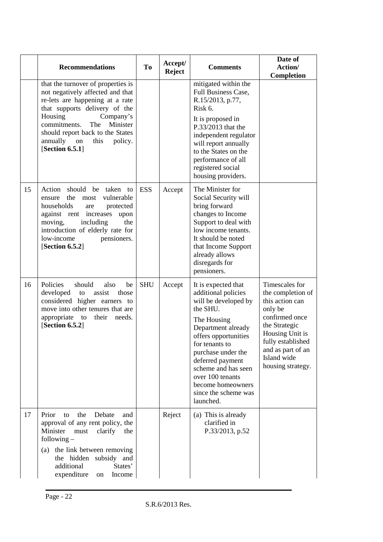|    | <b>Recommendations</b>                                                                                                                                                                                                                                                                         | To         | Accept/<br><b>Reject</b> | <b>Comments</b>                                                                                                                                                                                                                                                                                              | Date of<br>Action/<br>Completion                                                                                                                                                                      |
|----|------------------------------------------------------------------------------------------------------------------------------------------------------------------------------------------------------------------------------------------------------------------------------------------------|------------|--------------------------|--------------------------------------------------------------------------------------------------------------------------------------------------------------------------------------------------------------------------------------------------------------------------------------------------------------|-------------------------------------------------------------------------------------------------------------------------------------------------------------------------------------------------------|
|    | that the turnover of properties is<br>not negatively affected and that<br>re-lets are happening at a rate<br>that supports delivery of the<br>Housing<br>Company's<br>commitments.<br>The<br>Minister<br>should report back to the States<br>annually on<br>this<br>policy.<br>[Section 6.5.1] |            |                          | mitigated within the<br>Full Business Case,<br>R.15/2013, p.77,<br>Risk 6.<br>It is proposed in<br>P.33/2013 that the<br>independent regulator<br>will report annually<br>to the States on the<br>performance of all<br>registered social<br>housing providers.                                              |                                                                                                                                                                                                       |
| 15 | Action should be taken to<br>ensure the most<br>vulnerable<br>households<br>protected<br>are<br>against rent increases<br>upon<br>the<br>moving,<br>including<br>introduction of elderly rate for<br>low-income<br>pensioners.<br>[Section 6.5.2]                                              | <b>ESS</b> | Accept                   | The Minister for<br>Social Security will<br>bring forward<br>changes to Income<br>Support to deal with<br>low income tenants.<br>It should be noted<br>that Income Support<br>already allows<br>disregards for<br>pensioners.                                                                                |                                                                                                                                                                                                       |
| 16 | Policies<br>should<br>also<br>be<br>developed<br>to<br>assist<br>those<br>considered higher earners to<br>move into other tenures that are<br>appropriate to their<br>needs.<br>[Section $6.5.2$ ]                                                                                             | <b>SHU</b> | Accept                   | It is expected that<br>additional policies<br>will be developed by<br>the SHU.<br>The Housing<br>Department already<br>offers opportunities<br>for tenants to<br>purchase under the<br>deferred payment<br>scheme and has seen<br>over 100 tenants<br>become homeowners<br>since the scheme was<br>launched. | Timescales for<br>the completion of<br>this action can<br>only be<br>confirmed once<br>the Strategic<br>Housing Unit is<br>fully established<br>and as part of an<br>Island wide<br>housing strategy. |
| 17 | Prior<br>the<br>Debate<br>to<br>and<br>approval of any rent policy, the<br>Minister<br>must<br>clarify<br>the<br>following $-$<br>the link between removing<br>(a)<br>hidden subsidy and<br>the<br>additional<br>States'<br>expenditure<br>Income<br>on                                        |            | Reject                   | (a) This is already<br>clarified in<br>P.33/2013, p.52                                                                                                                                                                                                                                                       |                                                                                                                                                                                                       |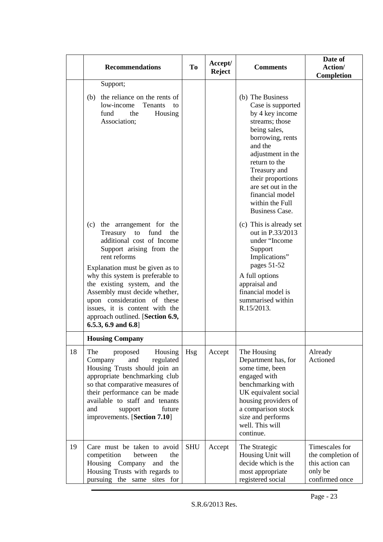|    | <b>Recommendations</b>                                                                                                                                                                                                                                                                                                                                                                                   | T <sub>0</sub> | Accept/<br><b>Reject</b> | <b>Comments</b>                                                                                                                                                                                                                                                                           | Date of<br>Action/<br>Completion                                                    |
|----|----------------------------------------------------------------------------------------------------------------------------------------------------------------------------------------------------------------------------------------------------------------------------------------------------------------------------------------------------------------------------------------------------------|----------------|--------------------------|-------------------------------------------------------------------------------------------------------------------------------------------------------------------------------------------------------------------------------------------------------------------------------------------|-------------------------------------------------------------------------------------|
|    | Support;<br>the reliance on the rents of<br>(b)<br>low-income<br>Tenants<br>to<br>fund<br>the<br>Housing<br>Association;                                                                                                                                                                                                                                                                                 |                |                          | (b) The Business<br>Case is supported<br>by 4 key income<br>streams; those<br>being sales,<br>borrowing, rents<br>and the<br>adjustment in the<br>return to the<br>Treasury and<br>their proportions<br>are set out in the<br>financial model<br>within the Full<br><b>Business Case.</b> |                                                                                     |
|    | (c) the arrangement for the<br>Treasury to fund<br>the<br>additional cost of Income<br>Support arising from the<br>rent reforms<br>Explanation must be given as to<br>why this system is preferable to<br>the existing system, and the<br>Assembly must decide whether,<br>upon consideration of these<br>issues, it is content with the<br>approach outlined. [Section 6.9,<br>$6.5.3, 6.9$ and $6.8$ ] |                |                          | (c) This is already set<br>out in P.33/2013<br>under "Income<br>Support<br>Implications"<br>pages 51-52<br>A full options<br>appraisal and<br>financial model is<br>summarised within<br>R.15/2013.                                                                                       |                                                                                     |
| 18 | <b>Housing Company</b><br>The<br>proposed<br>Housing<br>Company<br>and<br>regulated<br>Housing Trusts should join an<br>appropriate benchmarking club<br>so that comparative measures of<br>their performance can be made<br>available to staff and tenants<br>future<br>and<br>support<br>improvements. [Section 7.10]                                                                                  | <b>Hsg</b>     | Accept                   | The Housing<br>Department has, for<br>some time, been<br>engaged with<br>benchmarking with<br>UK equivalent social<br>housing providers of<br>a comparison stock<br>size and performs<br>well. This will<br>continue.                                                                     | Already<br>Actioned                                                                 |
| 19 | Care must be taken to avoid<br>competition<br>between<br>the<br>Housing Company and<br>the<br>Housing Trusts with regards to<br>pursuing the same sites for                                                                                                                                                                                                                                              | <b>SHU</b>     | Accept                   | The Strategic<br>Housing Unit will<br>decide which is the<br>most appropriate<br>registered social                                                                                                                                                                                        | Timescales for<br>the completion of<br>this action can<br>only be<br>confirmed once |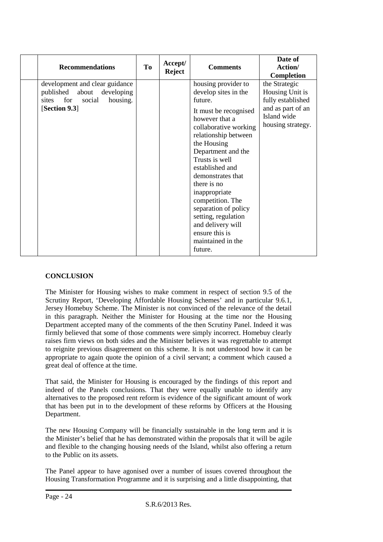| <b>Recommendations</b>                                                                                              | To | Accept/<br><b>Reject</b> | <b>Comments</b>                                                                                                                                                                                                                                                                                                                                                                                                             | Date of<br>Action/<br><b>Completion</b>                                                                        |
|---------------------------------------------------------------------------------------------------------------------|----|--------------------------|-----------------------------------------------------------------------------------------------------------------------------------------------------------------------------------------------------------------------------------------------------------------------------------------------------------------------------------------------------------------------------------------------------------------------------|----------------------------------------------------------------------------------------------------------------|
| development and clear guidance<br>published about developing<br>for<br>housing.<br>sites<br>social<br>[Section 9.3] |    |                          | housing provider to<br>develop sites in the<br>future.<br>It must be recognised<br>however that a<br>collaborative working<br>relationship between<br>the Housing<br>Department and the<br>Trusts is well<br>established and<br>demonstrates that<br>there is no<br>inappropriate<br>competition. The<br>separation of policy<br>setting, regulation<br>and delivery will<br>ensure this is<br>maintained in the<br>future. | the Strategic<br>Housing Unit is<br>fully established<br>and as part of an<br>Island wide<br>housing strategy. |

#### **CONCLUSION**

The Minister for Housing wishes to make comment in respect of section 9.5 of the Scrutiny Report, 'Developing Affordable Housing Schemes' and in particular 9.6.1, Jersey Homebuy Scheme. The Minister is not convinced of the relevance of the detail in this paragraph. Neither the Minister for Housing at the time nor the Housing Department accepted many of the comments of the then Scrutiny Panel. Indeed it was firmly believed that some of those comments were simply incorrect. Homebuy clearly raises firm views on both sides and the Minister believes it was regrettable to attempt to reignite previous disagreement on this scheme. It is not understood how it can be appropriate to again quote the opinion of a civil servant; a comment which caused a great deal of offence at the time.

That said, the Minister for Housing is encouraged by the findings of this report and indeed of the Panels conclusions. That they were equally unable to identify any alternatives to the proposed rent reform is evidence of the significant amount of work that has been put in to the development of these reforms by Officers at the Housing Department.

The new Housing Company will be financially sustainable in the long term and it is the Minister's belief that he has demonstrated within the proposals that it will be agile and flexible to the changing housing needs of the Island, whilst also offering a return to the Public on its assets.

The Panel appear to have agonised over a number of issues covered throughout the Housing Transformation Programme and it is surprising and a little disappointing, that